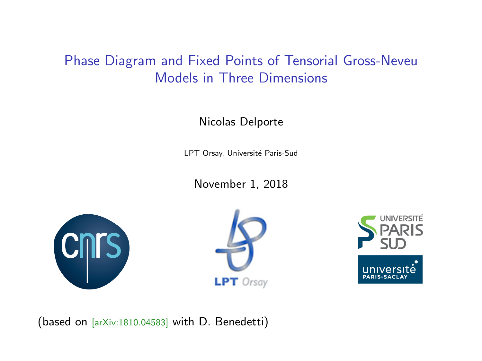# <span id="page-0-0"></span>Phase Diagram and Fixed Points of Tensorial Gross-Neveu Models in Three Dimensions

Nicolas Delporte

LPT Orsay, Université Paris-Sud

November 1, 2018







(based on [arXiv:1810.04583] with D. Benedetti)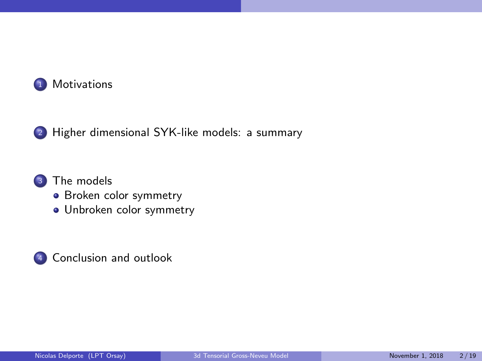

#### <sup>3</sup> [The models](#page-11-0)

- [Broken color symmetry](#page-11-0)
- [Unbroken color symmetry](#page-23-0)

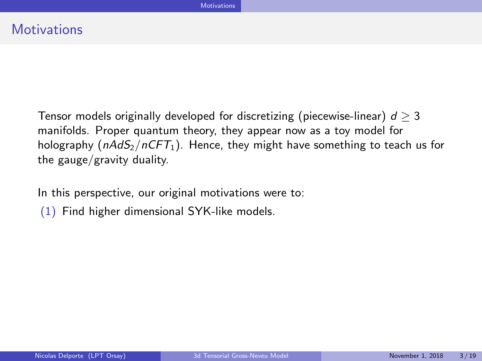In this perspective, our original motivations were to:

(1) Find higher dimensional SYK-like models.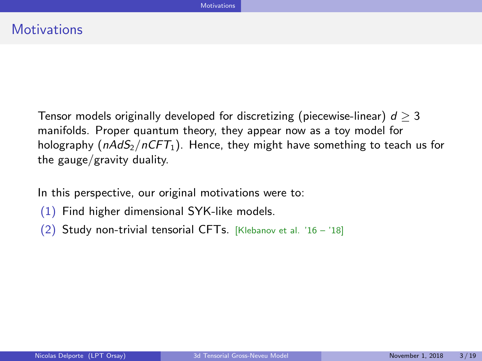In this perspective, our original motivations were to:

- (1) Find higher dimensional SYK-like models.
- (2) Study non-trivial tensorial CFTs. [Klebanov et al. '16 '18]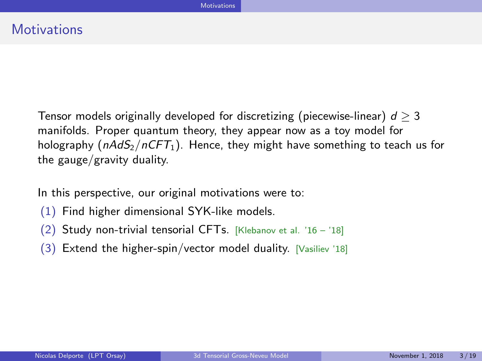In this perspective, our original motivations were to:

- (1) Find higher dimensional SYK-like models.
- (2) Study non-trivial tensorial CFTs. [Klebanov et al. '16 '18]
- (3) Extend the higher-spin/vector model duality. [Vasiliev '18]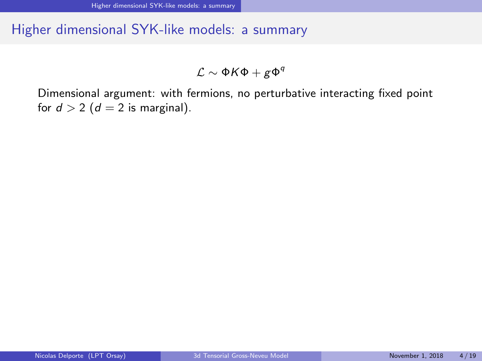$\mathcal{L} \sim \Phi \mathcal{K} \Phi + g \Phi^q$ 

<span id="page-6-0"></span>Dimensional argument: with fermions, no perturbative interacting fixed point for  $d > 2$  ( $d = 2$  is marginal).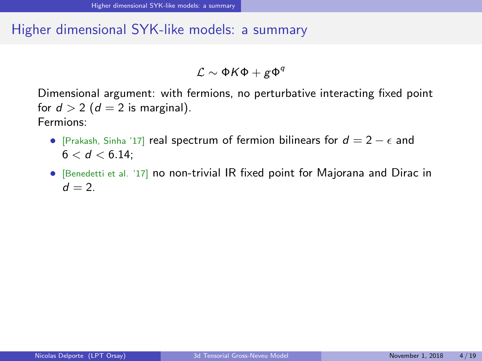$\mathcal{L} \sim \Phi \mathcal{K} \Phi + g \Phi^q$ 

Dimensional argument: with fermions, no perturbative interacting fixed point for  $d > 2$  ( $d = 2$  is marginal). Fermions:

- [Prakash, Sinha '17] real spectrum of fermion bilinears for  $d = 2 \epsilon$  and  $6 < d < 6.14$ :
- [Benedetti et al. '17] no non-trivial IR fixed point for Majorana and Dirac in  $d = 2$ .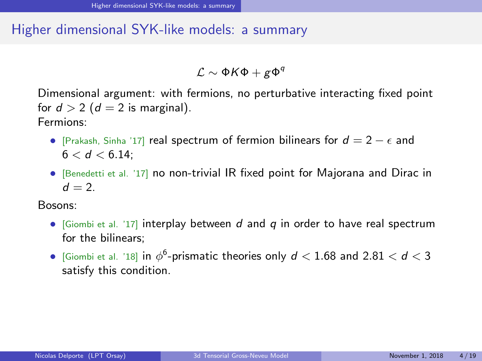$\mathcal{L} \sim \Phi \mathcal{K} \Phi + g \Phi^q$ 

Dimensional argument: with fermions, no perturbative interacting fixed point for  $d > 2$  ( $d = 2$  is marginal). Fermions:

- [Prakash, Sinha '17] real spectrum of fermion bilinears for  $d = 2 \epsilon$  and  $6 < d < 6.14$ :
- [Benedetti et al. '17] no non-trivial IR fixed point for Majorana and Dirac in  $d = 2$ .

Bosons:

- [Giombi et al. '17] interplay between  $d$  and  $q$  in order to have real spectrum for the bilinears;
- $\bullet\,$  [Giombi et al. '18] in  $\phi^6$ -prismatic theories only  $d < 1.68$  and  $2.81 < d < 3$ satisfy this condition.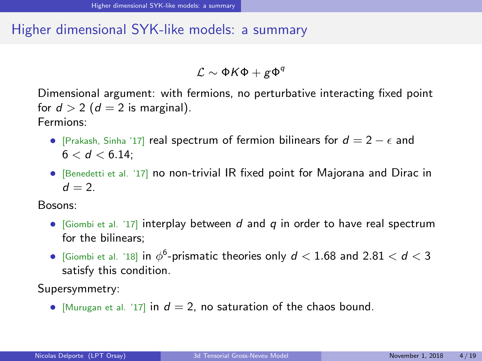$\mathcal{L} \sim \Phi \mathcal{K} \Phi + g \Phi^q$ 

Dimensional argument: with fermions, no perturbative interacting fixed point for  $d > 2$  ( $d = 2$  is marginal). Fermions:

- [Prakash, Sinha '17] real spectrum of fermion bilinears for  $d = 2 \epsilon$  and  $6 < d < 6.14$ :
- [Benedetti et al. '17] no non-trivial IR fixed point for Majorana and Dirac in  $d = 2$ .

Bosons:

- [Giombi et al. '17] interplay between  $d$  and  $q$  in order to have real spectrum for the bilinears;
- $\bullet\,$  [Giombi et al. '18] in  $\phi^6$ -prismatic theories only  $d < 1.68$  and  $2.81 < d < 3$ satisfy this condition.

Supersymmetry:

• [Murugan et al. '17] in  $d = 2$ , no saturation of the chaos bound.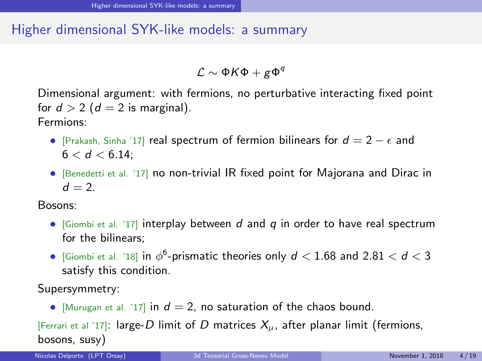$\mathcal{L} \sim \Phi \mathcal{K} \Phi + g \Phi^q$ 

Dimensional argument: with fermions, no perturbative interacting fixed point for  $d > 2$  ( $d = 2$  is marginal). Fermions:

- [Prakash, Sinha '17] real spectrum of fermion bilinears for  $d = 2 \epsilon$  and  $6 < d < 6.14$ :
- [Benedetti et al. '17] no non-trivial IR fixed point for Majorana and Dirac in  $d = 2$ .

Bosons:

- [Giombi et al. '17] interplay between  $d$  and  $q$  in order to have real spectrum for the bilinears;
- $\bullet\,$  [Giombi et al. '18] in  $\phi^6$ -prismatic theories only  $d < 1.68$  and  $2.81 < d < 3$ satisfy this condition.

Supersymmetry:

• [Murugan et al. '17] in  $d = 2$ , no saturation of the chaos bound.

[Ferrari et al '17]: large-D limit of D matrices  $X_\mu$ , after planar limit (fermions, bosons, susy)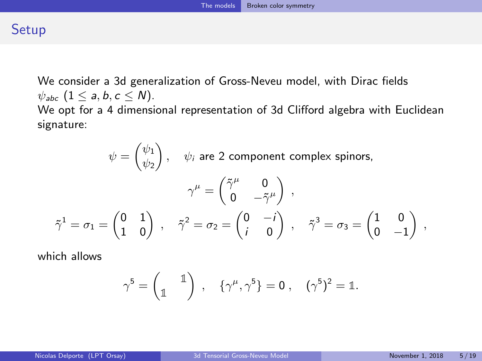## <span id="page-11-0"></span>**Setup**

We consider a 3d generalization of Gross-Neveu model, with Dirac fields  $\psi_{abc}$   $(1 \le a, b, c \le N)$ . We opt for a 4 dimensional representation of 3d Clifford algebra with Euclidean signature:

 $\psi = \begin{pmatrix} \psi_1 \\ \psi_2 \end{pmatrix}$  $\psi_2$  $\bigg)$  ,  $\psi_i$  are 2 component complex spinors,  $\gamma^{\mu} = \begin{pmatrix} \tilde{\gamma}^{\mu} & 0 \\ 0 & \tilde{z} \end{pmatrix}$  $\left( \begin{matrix} \dot{\gamma}^{\mu} & 0 \ 0 & -\tilde{\gamma}^{\mu} \end{matrix} \right) \; ,$  $\tilde{\gamma}^1=\sigma_1=\begin{pmatrix} 0 & 1 \ 1 & 0 \end{pmatrix}\;,\quad \tilde{\gamma}^2=\sigma_2=\begin{pmatrix} 0 & -i \ i & 0 \end{pmatrix}$ i 0  $\gamma^3 = \sigma_3 = \begin{pmatrix} 1 & 0 \\ 0 & 0 \end{pmatrix}$  $0 -1$  $\Big)$ ,

which allows

$$
\gamma^5 = \begin{pmatrix} 1 \\ \mathbb{1} \end{pmatrix} , \quad \{ \gamma^\mu, \gamma^5 \} = 0 , \quad (\gamma^5)^2 = \mathbb{1}.
$$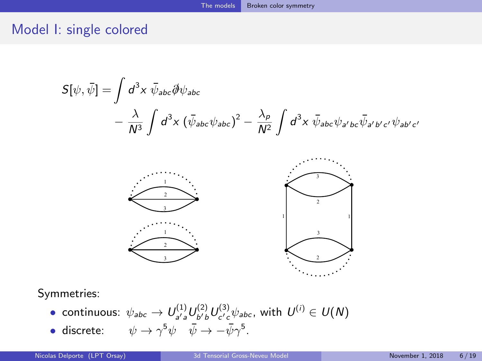$$
S[\psi, \bar{\psi}] = \int d^3x \ \bar{\psi}_{abc} \partial \psi_{abc}
$$

$$
- \frac{\lambda}{N^3} \int d^3x \ (\bar{\psi}_{abc} \psi_{abc})^2 - \frac{\lambda_p}{N^2} \int d^3x \ \bar{\psi}_{abc} \psi_{a'b'bc} \bar{\psi}_{a'b'c'} \psi_{ab'c'}
$$



Symmetries:

- $\bullet$  continuous:  $\psi_{abc}\to U^{(1)}_{a' a}U^{(2)}_{b'b}U^{(3)}_{c'c}\psi_{abc}$ , with  $U^{(i)}\in U(N)$
- discrete:  $\psi \to \gamma^5 \psi \quad \bar{\psi} \to \bar{\psi} \gamma^5$ .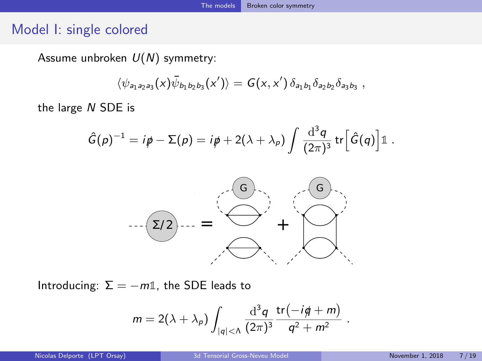Assume unbroken  $U(N)$  symmetry:

$$
\langle \psi_{a_1 a_2 a_3}(x) \bar{\psi}_{b_1 b_2 b_3}(x') \rangle = G(x, x') \, \delta_{a_1 b_1} \delta_{a_2 b_2} \delta_{a_3 b_3} ,
$$

the large N SDE is

$$
\hat{G}(p)^{-1} = i\rlap/v - \Sigma(p) = i\rlap/v + 2(\lambda + \lambda_p) \int \frac{\mathrm{d}^3q}{(2\pi)^3} \,\mathrm{tr}\Big[\hat{G}(q)\Big]\mathbb{1}.
$$



Introducing:  $\Sigma = -m\mathbb{1}$ , the SDE leads to

$$
m = 2(\lambda + \lambda_p) \int_{|q| < \Lambda} \frac{\mathrm{d}^3 q}{(2\pi)^3} \frac{\mathrm{tr}(-i q + m)}{q^2 + m^2}
$$

.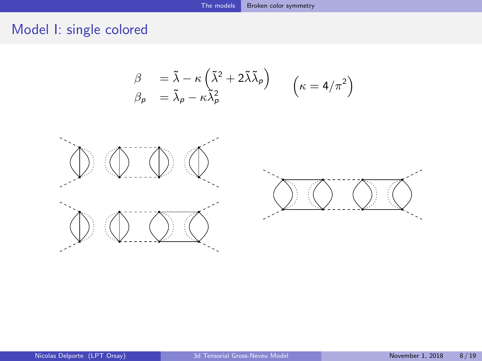$$
\begin{array}{ll}\n\beta & = \tilde{\lambda} - \kappa \left( \tilde{\lambda}^2 + 2 \tilde{\lambda} \tilde{\lambda}_\rho \right) \\
\beta_\rho & = \tilde{\lambda}_\rho - \kappa \tilde{\lambda}_\rho^2\n\end{array} \quad \left( \kappa = 4/\pi^2 \right)
$$



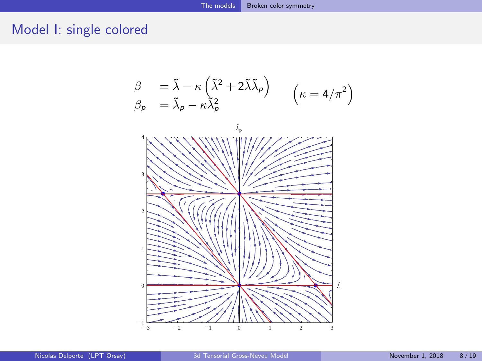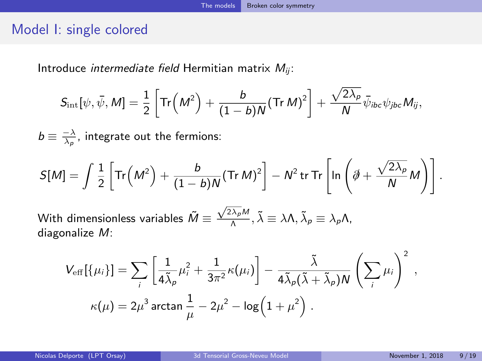Introduce *intermediate field* Hermitian matrix  $M_{ij}$ :

$$
S_{\rm int}[\psi,\bar{\psi},M]=\frac{1}{2}\left[{\rm Tr}\Big(M^2\Big)+\frac{b}{(1-b)N}({\rm Tr}\,M)^2\right]+\frac{\sqrt{2\lambda_p}}{N}\bar{\psi}_{ibc}\psi_{jbc}M_{ij},
$$

 $b \equiv \frac{-\lambda}{\lambda_\rho}$ , integrate out the fermions:

$$
S[M] = \int \frac{1}{2} \left[ \text{Tr} \left( M^2 \right) + \frac{b}{(1-b)N} (\text{Tr } M)^2 \right] - N^2 \text{tr } \text{Tr} \left[ \ln \left( \hat{\phi} + \frac{\sqrt{2\lambda_p}}{N} M \right) \right].
$$

With dimensionless variables  $\tilde{M}\equiv \frac{\sqrt{2\lambda_\rho}M}{\Lambda}$  $\frac{(\lambda_p)M}{\Lambda}, \tilde{\lambda} \equiv \lambda \Lambda, \tilde{\lambda}_p \equiv \lambda_p \Lambda,$ diagonalize M:

$$
V_{\text{eff}}[\{\mu_i\}] = \sum_i \left[ \frac{1}{4\tilde{\lambda}_p} \mu_i^2 + \frac{1}{3\pi^2} \kappa(\mu_i) \right] - \frac{\tilde{\lambda}}{4\tilde{\lambda}_p (\tilde{\lambda} + \tilde{\lambda}_p) N} \left( \sum_i \mu_i \right)^2 ,
$$
  

$$
\kappa(\mu) = 2\mu^3 \arctan \frac{1}{\mu} - 2\mu^2 - \log(1 + \mu^2) .
$$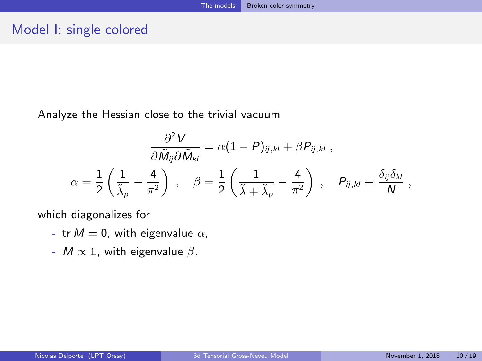Analyze the Hessian close to the trivial vacuum

$$
\frac{\partial^2 V}{\partial \tilde{M}_{ij} \partial \tilde{M}_{kl}} = \alpha (1 - P)_{ij,kl} + \beta P_{ij,kl} ,
$$
  

$$
\alpha = \frac{1}{2} \left( \frac{1}{\tilde{\lambda}_{p}} - \frac{4}{\pi^2} \right) , \quad \beta = \frac{1}{2} \left( \frac{1}{\tilde{\lambda} + \tilde{\lambda}_{p}} - \frac{4}{\pi^2} \right) , \quad P_{ij,kl} \equiv \frac{\delta_{ij} \delta_{kl}}{N} ,
$$

which diagonalizes for

- tr  $M = 0$ , with eigenvalue  $\alpha$ ,
- $M \propto \mathbb{1}$ , with eigenvalue  $\beta$ .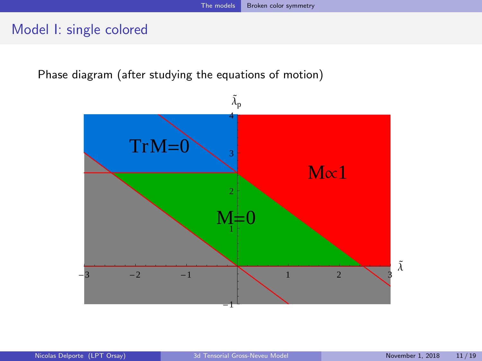Phase diagram (after studying the equations of motion)

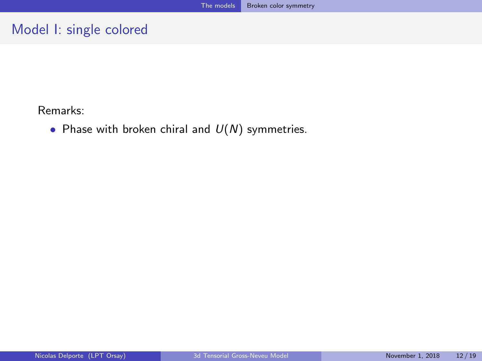Remarks:

• Phase with broken chiral and  $U(N)$  symmetries.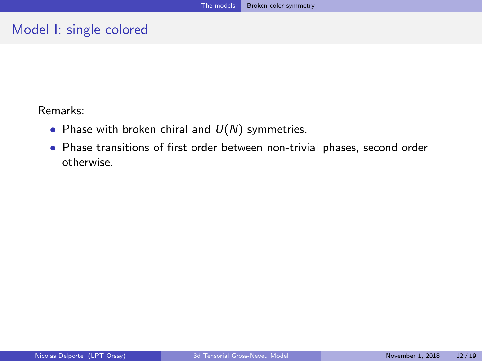Remarks:

- Phase with broken chiral and  $U(N)$  symmetries.
- Phase transitions of first order between non-trivial phases, second order otherwise.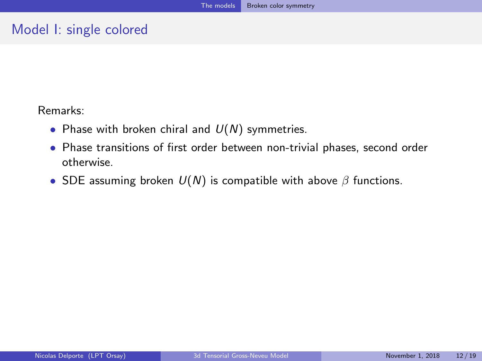Remarks:

- Phase with broken chiral and  $U(N)$  symmetries.
- Phase transitions of first order between non-trivial phases, second order otherwise.
- SDE assuming broken  $U(N)$  is compatible with above  $\beta$  functions.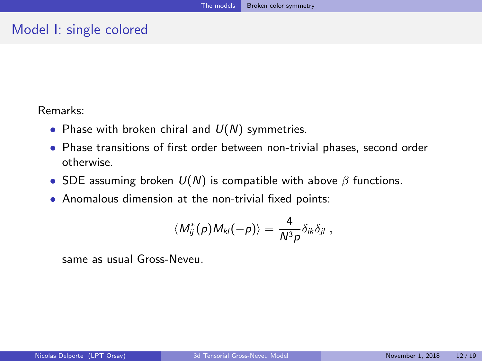Remarks:

- Phase with broken chiral and  $U(N)$  symmetries.
- Phase transitions of first order between non-trivial phases, second order otherwise.
- SDE assuming broken  $U(N)$  is compatible with above  $\beta$  functions.
- Anomalous dimension at the non-trivial fixed points:

$$
\langle M_{ij}^*(\rho) M_{kl}(-\rho) \rangle = \frac{4}{N^3 \rho} \delta_{ik} \delta_{jl} \; ,
$$

same as usual Gross-Neveu.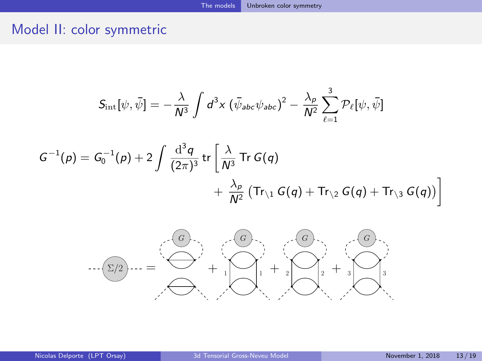<span id="page-23-0"></span>
$$
S_{\rm int}[\psi,\bar{\psi}]=-\frac{\lambda}{N^3}\int d^3x\left(\bar{\psi}_{abc}\psi_{abc}\right)^2-\frac{\lambda_p}{N^2}\sum_{\ell=1}^3\mathcal{P}_{\ell}[\psi,\bar{\psi}]
$$

$$
G^{-1}(p) = G_0^{-1}(p) + 2 \int \frac{\mathrm{d}^3 q}{(2\pi)^3} \operatorname{tr} \left[ \frac{\lambda}{N^3} \operatorname{Tr} G(q) + \frac{\lambda_p}{N^2} \left( \operatorname{Tr}_{\setminus 1} G(q) + \operatorname{Tr}_{\setminus 2} G(q) + \operatorname{Tr}_{\setminus 3} G(q) \right) \right]
$$

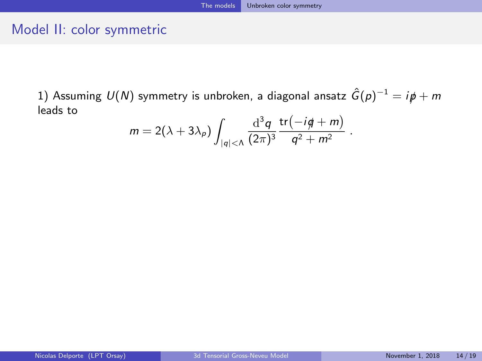1) Assuming  $U(N)$  symmetry is unbroken, a diagonal ansatz  $\hat{G}(p)^{-1} = i p \hspace{-1.5pt}/ + m$ leads to

$$
m = 2(\lambda + 3\lambda_p)\int_{|q|<\Lambda} \frac{\mathrm{d}^3q}{(2\pi)^3}\frac{\mathrm{tr}(-i\cancel{q}+m)}{q^2+m^2}.
$$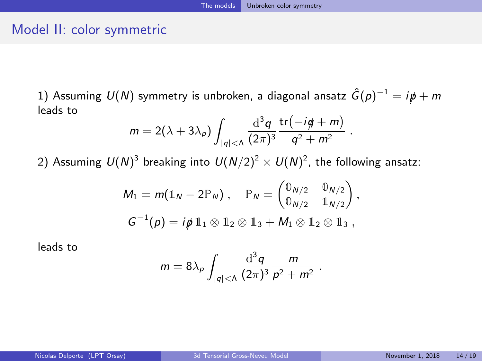.

### Model II: color symmetric

1) Assuming  $U(N)$  symmetry is unbroken, a diagonal ansatz  $\hat{G}(p)^{-1} = i p \hspace{-1.5pt}/ + m$ leads to

$$
m = 2(\lambda + 3\lambda_p) \int_{|q| < \Lambda} \frac{\mathrm{d}^3 q}{(2\pi)^3} \frac{\mathrm{tr}(-i q + m)}{q^2 + m^2}
$$

2) Assuming  $\mathcal{U}(N)^3$  breaking into  $\mathcal{U}(N/2)^2\times \mathcal{U}(N)^2$ , the following ansatz:

$$
M_1 = m(\mathbb{1}_N - 2\mathbb{P}_N), \quad \mathbb{P}_N = \begin{pmatrix} \mathbb{0}_{N/2} & \mathbb{0}_{N/2} \\ \mathbb{0}_{N/2} & \mathbb{1}_{N/2} \end{pmatrix},
$$
  

$$
G^{-1}(p) = i\cancel{p} 1_1 \otimes 1_2 \otimes 1_3 + M_1 \otimes 1_2 \otimes 1_3,
$$

leads to

$$
m = 8\lambda_p \int_{|q| < \Lambda} \frac{\mathrm{d}^3 q}{(2\pi)^3} \frac{m}{p^2 + m^2} \; .
$$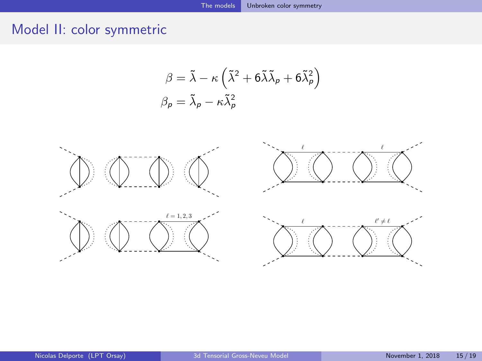$$
\beta = \tilde{\lambda} - \kappa \left( \tilde{\lambda}^2 + 6 \tilde{\lambda} \tilde{\lambda}_{p} + 6 \tilde{\lambda}_{p}^2 \right)
$$

$$
\beta_{p} = \tilde{\lambda}_{p} - \kappa \tilde{\lambda}_{p}^2
$$

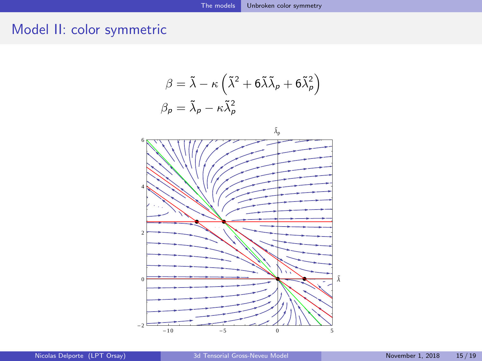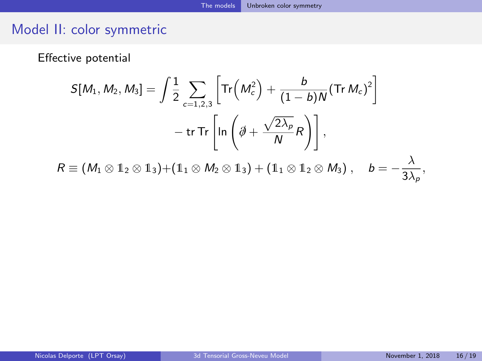Effective potential

$$
S[M_1, M_2, M_3] = \int \frac{1}{2} \sum_{c=1,2,3} \left[ \text{Tr}\left(M_c^2\right) + \frac{b}{(1-b)N} (\text{Tr } M_c)^2 \right]
$$

$$
- \text{tr Tr}\left[ \ln \left( \partial + \frac{\sqrt{2\lambda_p}}{N} R \right) \right],
$$

$$
R \equiv (M_1 \otimes \mathbb{1}_2 \otimes \mathbb{1}_3) + (\mathbb{1}_1 \otimes M_2 \otimes \mathbb{1}_3) + (\mathbb{1}_1 \otimes \mathbb{1}_2 \otimes M_3), \quad b = -\frac{\lambda}{3\lambda_p},
$$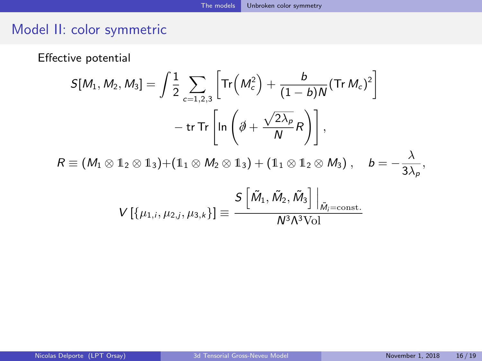Effective potential

$$
S[M_1, M_2, M_3] = \int \frac{1}{2} \sum_{c=1,2,3} \left[ \text{Tr} \left( M_c^2 \right) + \frac{b}{(1-b)N} (\text{Tr} M_c)^2 \right]
$$

$$
- \text{tr} \text{Tr} \left[ \ln \left( \partial + \frac{\sqrt{2\lambda_p}}{N} R \right) \right],
$$

$$
R \equiv (M_1 \otimes \mathbb{1}_2 \otimes \mathbb{1}_3) + (\mathbb{1}_1 \otimes M_2 \otimes \mathbb{1}_3) + (\mathbb{1}_1 \otimes \mathbb{1}_2 \otimes M_3), \quad b = -\frac{\lambda}{3\lambda_p},
$$

$$
V \left[ \{ \mu_{1,i}, \mu_{2,j}, \mu_{3,k} \} \right] \equiv \frac{S \left[ \tilde{M}_1, \tilde{M}_2, \tilde{M}_3 \right] \Big|_{\tilde{M}_i = \text{const.}}}{N^3 \Lambda^3 \text{Vol}}
$$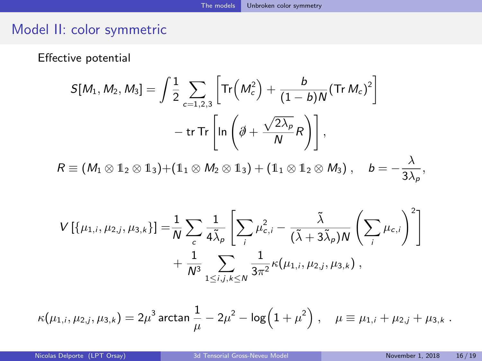Effective potential

$$
S[M_1, M_2, M_3] = \int \frac{1}{2} \sum_{c=1,2,3} \left[ \text{Tr}\left(M_c^2\right) + \frac{b}{(1-b)N} (\text{Tr } M_c)^2 \right]
$$

$$
- \text{tr Tr}\left[ \ln \left( \partial \!\!\! / + \frac{\sqrt{2\lambda_\rho}}{N} R \right) \right],
$$

$$
R \equiv (M_1 \otimes \mathbb{1}_2 \otimes \mathbb{1}_3) + (\mathbb{1}_1 \otimes M_2 \otimes \mathbb{1}_3) + (\mathbb{1}_1 \otimes \mathbb{1}_2 \otimes M_3), \quad b = -\frac{\lambda}{3\lambda_\rho},
$$

$$
V[\{\mu_{1,i}, \mu_{2,j}, \mu_{3,k}\}] = \frac{1}{N} \sum_{c} \frac{1}{4\tilde{\lambda}_{p}} \left[ \sum_{i} \mu_{c,i}^{2} - \frac{\tilde{\lambda}}{(\tilde{\lambda} + 3\tilde{\lambda}_{p})N} \left( \sum_{i} \mu_{c,i} \right)^{2} \right] + \frac{1}{N^{3}} \sum_{1 \leq i,j,k \leq N} \frac{1}{3\pi^{2}} \kappa(\mu_{1,i}, \mu_{2,j}, \mu_{3,k}),
$$

$$
\kappa(\mu_{1,i}, \mu_{2,j}, \mu_{3,k}) = 2\mu^3 \arctan \frac{1}{\mu} - 2\mu^2 - \log(1 + \mu^2) , \quad \mu \equiv \mu_{1,i} + \mu_{2,j} + \mu_{3,k} .
$$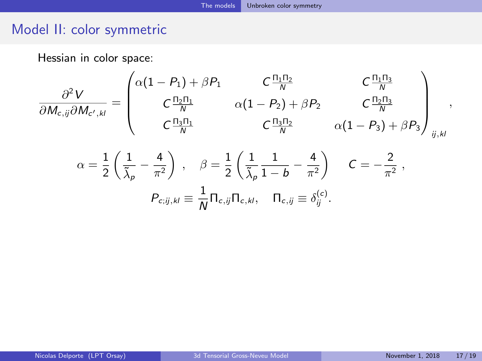Hessian in color space:

$$
\frac{\partial^2 V}{\partial M_{c,ij}\partial M_{c',kl}} = \begin{pmatrix}\n\alpha(1-P_1) + \beta P_1 & C \frac{\Pi_1 \Pi_2}{N} & C \frac{\Pi_1 \Pi_3}{N} \\
C \frac{\Pi_2 \Pi_1}{N} & \alpha(1-P_2) + \beta P_2 & C \frac{\Pi_2 \Pi_3}{N} \\
C \frac{\Pi_3 \Pi_1}{N} & C \frac{\Pi_3 \Pi_2}{N} & \alpha(1-P_3) + \beta P_3\n\end{pmatrix}_{ij,kl},
$$
\n
$$
\alpha = \frac{1}{2} \left( \frac{1}{\tilde{\lambda}_p} - \frac{4}{\pi^2} \right), \quad \beta = \frac{1}{2} \left( \frac{1}{\tilde{\lambda}_p} \frac{1}{1-b} - \frac{4}{\pi^2} \right) \quad C = -\frac{2}{\pi^2},
$$
\n
$$
P_{c;ij,kl} \equiv \frac{1}{N} \Pi_{c;ij} \Pi_{c,kl}, \quad \Pi_{c;ij} \equiv \delta_{ij}^{(c)}.
$$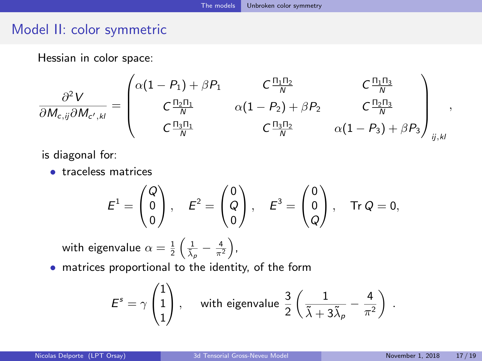Hessian in color space:

$$
\frac{\partial^2 V}{\partial M_{c,ij}\partial M_{c',kl}} = \begin{pmatrix} \alpha(1-P_1) + \beta P_1 & C\frac{\Pi_1 \Pi_2}{N} & C\frac{\Pi_1 \Pi_3}{N} \\ C\frac{\Pi_2 \Pi_1}{N} & \alpha(1-P_2) + \beta P_2 & C\frac{\Pi_2 \Pi_3}{N} \\ C\frac{\Pi_3 \Pi_1}{N} & C\frac{\Pi_3 \Pi_2}{N} & \alpha(1-P_3) + \beta P_3 \end{pmatrix}_{ij,kl},
$$

is diagonal for:

• traceless matrices

$$
E^{1} = \begin{pmatrix} Q \\ 0 \\ 0 \end{pmatrix}, \quad E^{2} = \begin{pmatrix} 0 \\ Q \\ 0 \end{pmatrix}, \quad E^{3} = \begin{pmatrix} 0 \\ 0 \\ Q \end{pmatrix}, \quad \text{Tr } Q = 0,
$$

with eigenvalue  $\alpha = \frac{1}{2}\left(\frac{1}{\tilde{\lambda}_\rho} - \frac{4}{\pi^2}\right)$ ,

• matrices proportional to the identity, of the form

$$
\mathcal{E}^s = \gamma \begin{pmatrix} 1 \\ 1 \\ 1 \end{pmatrix}, \quad \text{ with eigenvalue } \frac{3}{2} \left( \frac{1}{\tilde{\lambda} + 3 \tilde{\lambda}_\rho} - \frac{4}{\pi^2} \right) \; .
$$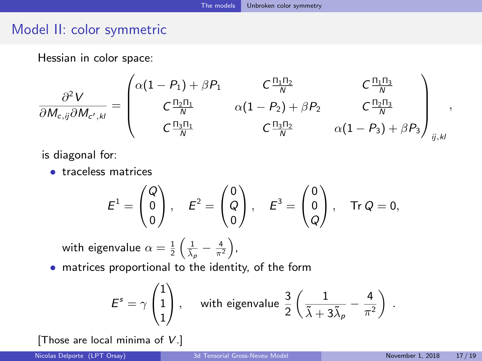Hessian in color space:

$$
\frac{\partial^2 V}{\partial M_{c,ij}\partial M_{c',kl}} = \begin{pmatrix} \alpha(1-P_1) + \beta P_1 & C\frac{\Pi_1 \Pi_2}{N} & C\frac{\Pi_1 \Pi_3}{N} \\ C\frac{\Pi_2 \Pi_1}{N} & \alpha(1-P_2) + \beta P_2 & C\frac{\Pi_2 \Pi_3}{N} \\ C\frac{\Pi_3 \Pi_1}{N} & C\frac{\Pi_3 \Pi_2}{N} & \alpha(1-P_3) + \beta P_3 \end{pmatrix}_{ij,kl},
$$

is diagonal for:

• traceless matrices

$$
E^{1} = \begin{pmatrix} Q \\ 0 \\ 0 \end{pmatrix}, \quad E^{2} = \begin{pmatrix} 0 \\ Q \\ 0 \end{pmatrix}, \quad E^{3} = \begin{pmatrix} 0 \\ 0 \\ Q \end{pmatrix}, \quad \text{Tr } Q = 0,
$$

with eigenvalue  $\alpha = \frac{1}{2}\left(\frac{1}{\tilde{\lambda}_\rho} - \frac{4}{\pi^2}\right)$ ,

• matrices proportional to the identity, of the form

$$
\mathcal{E}^s = \gamma \begin{pmatrix} 1 \\ 1 \\ 1 \end{pmatrix}, \quad \text{ with eigenvalue } \frac{3}{2} \left( \frac{1}{\tilde{\lambda} + 3 \tilde{\lambda}_\rho} - \frac{4}{\pi^2} \right) \; .
$$

[Those are local minima of  $V$ .]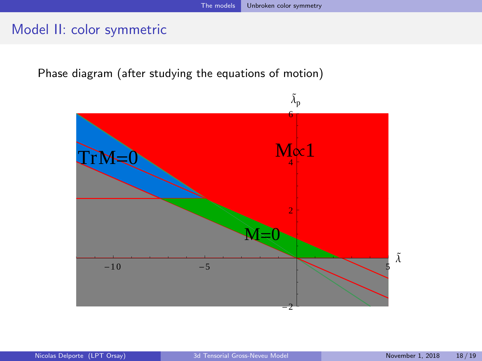Phase diagram (after studying the equations of motion)

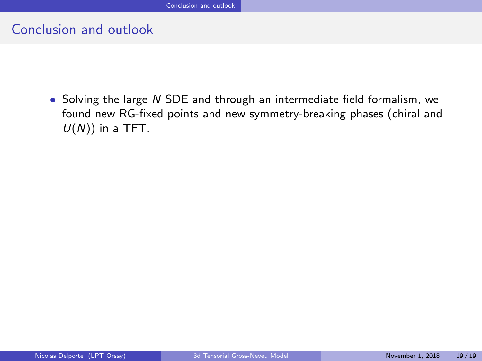<span id="page-35-0"></span>• Solving the large N SDE and through an intermediate field formalism, we found new RG-fixed points and new symmetry-breaking phases (chiral and  $U(N)$ ) in a TFT.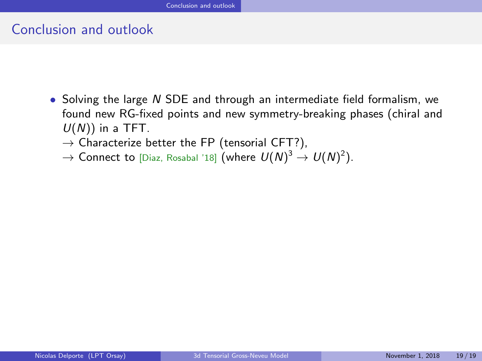- Solving the large N SDE and through an intermediate field formalism, we found new RG-fixed points and new symmetry-breaking phases (chiral and  $U(N)$ ) in a TFT.
	- $\rightarrow$  Characterize better the FP (tensorial CFT?),
	- $\rightarrow$  Connect to [Diaz, Rosabal '18] (where  $U(N)^3 \rightarrow U(N)^2).$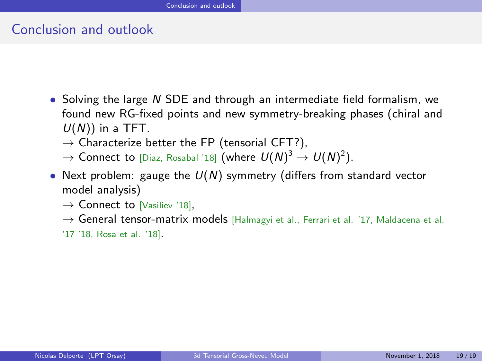- Solving the large N SDE and through an intermediate field formalism, we found new RG-fixed points and new symmetry-breaking phases (chiral and  $U(N)$ ) in a TFT.
	- $\rightarrow$  Characterize better the FP (tensorial CFT?),
	- $\rightarrow$  Connect to [Diaz, Rosabal '18] (where  $U(N)^3 \rightarrow U(N)^2).$
- Next problem: gauge the  $U(N)$  symmetry (differs from standard vector model analysis)
	- $\rightarrow$  Connect to [Vasiliev '18],
	- → General tensor-matrix models [Halmagyi et al., Ferrari et al. '17, Maldacena et al.
	- '17 '18, Rosa et al. '18].